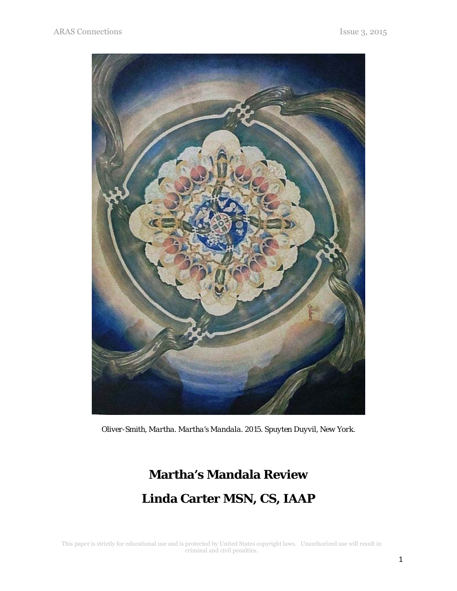

*Oliver-Smith, Martha. Martha's Mandala. 2015. Spuyten Duyvil, New York.*

## **Martha's Mandala Review Linda Carter MSN, CS, IAAP**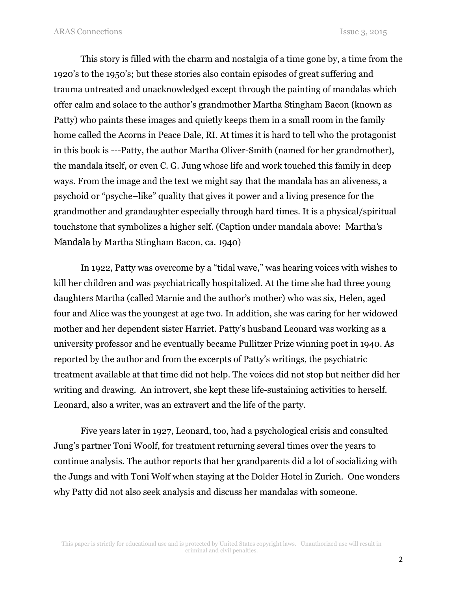This story is filled with the charm and nostalgia of a time gone by, a time from the 1920's to the 1950's; but these stories also contain episodes of great suffering and trauma untreated and unacknowledged except through the painting of mandalas which offer calm and solace to the author's grandmother Martha Stingham Bacon (known as Patty) who paints these images and quietly keeps them in a small room in the family home called the Acorns in Peace Dale, RI. At times it is hard to tell who the protagonist in this book is ---Patty, the author Martha Oliver-Smith (named for her grandmother), the mandala itself, or even C. G. Jung whose life and work touched this family in deep ways. From the image and the text we might say that the mandala has an aliveness, a psychoid or "psyche–like" quality that gives it power and a living presence for the grandmother and grandaughter especially through hard times. It is a physical/spiritual touchstone that symbolizes a higher self. (Caption under mandala above: *Martha's Mandala* by Martha Stingham Bacon, ca. 1940)

In 1922, Patty was overcome by a "tidal wave," was hearing voices with wishes to kill her children and was psychiatrically hospitalized. At the time she had three young daughters Martha (called Marnie and the author's mother) who was six, Helen, aged four and Alice was the youngest at age two. In addition, she was caring for her widowed mother and her dependent sister Harriet. Patty's husband Leonard was working as a university professor and he eventually became Pullitzer Prize winning poet in 1940. As reported by the author and from the excerpts of Patty's writings, the psychiatric treatment available at that time did not help. The voices did not stop but neither did her writing and drawing. An introvert, she kept these life-sustaining activities to herself. Leonard, also a writer, was an extravert and the life of the party.

Five years later in 1927, Leonard, too, had a psychological crisis and consulted Jung's partner Toni Woolf, for treatment returning several times over the years to continue analysis. The author reports that her grandparents did a lot of socializing with the Jungs and with Toni Wolf when staying at the Dolder Hotel in Zurich. One wonders why Patty did not also seek analysis and discuss her mandalas with someone.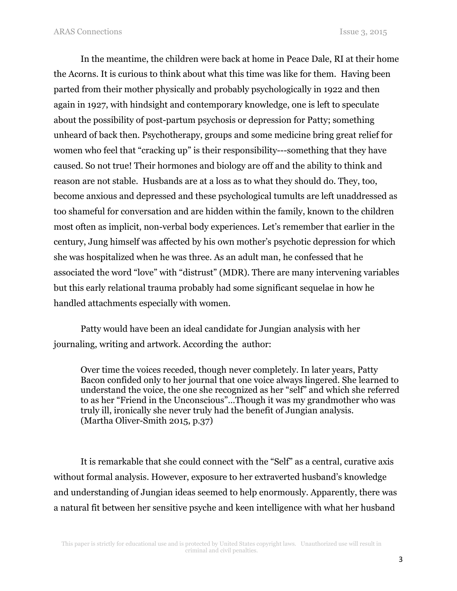In the meantime, the children were back at home in Peace Dale, RI at their home the Acorns. It is curious to think about what this time was like for them. Having been parted from their mother physically and probably psychologically in 1922 and then again in 1927, with hindsight and contemporary knowledge, one is left to speculate about the possibility of post-partum psychosis or depression for Patty; something unheard of back then. Psychotherapy, groups and some medicine bring great relief for women who feel that "cracking up" is their responsibility---something that they have caused. So not true! Their hormones and biology are off and the ability to think and reason are not stable. Husbands are at a loss as to what they should do. They, too, become anxious and depressed and these psychological tumults are left unaddressed as too shameful for conversation and are hidden within the family, known to the children most often as implicit, non-verbal body experiences. Let's remember that earlier in the century, Jung himself was affected by his own mother's psychotic depression for which she was hospitalized when he was three. As an adult man, he confessed that he associated the word "love" with "distrust" (MDR). There are many intervening variables but this early relational trauma probably had some significant sequelae in how he handled attachments especially with women.

Patty would have been an ideal candidate for Jungian analysis with her journaling, writing and artwork. According the author:

Over time the voices receded, though never completely. In later years, Patty Bacon confided only to her journal that one voice always lingered. She learned to understand the voice, the one she recognized as her "self" and which she referred to as her "Friend in the Unconscious"…Though it was my grandmother who was truly ill, ironically she never truly had the benefit of Jungian analysis. (Martha Oliver-Smith 2015, p.37)

It is remarkable that she could connect with the "Self" as a central, curative axis without formal analysis. However, exposure to her extraverted husband's knowledge and understanding of Jungian ideas seemed to help enormously. Apparently, there was a natural fit between her sensitive psyche and keen intelligence with what her husband